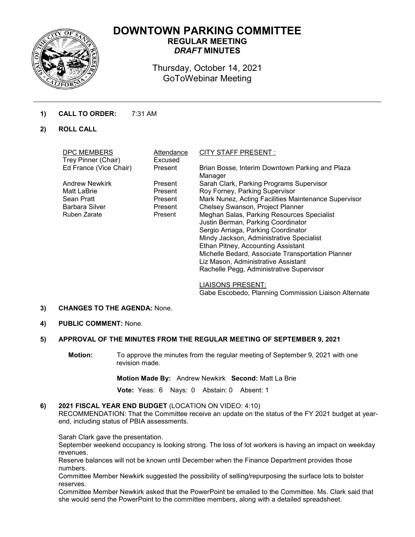

# **DOWNTOWN PARKING COMMITTEE REGULAR MEETING** *DRAFT* **MINUTES**

Thursday, October 14, 2021 GoToWebinar Meeting

# **1) CALL TO ORDER:** 7:31 AM

**2) ROLL CALL**

| DPC MEMBERS<br>Trey Pinner (Chair) | Attendance<br>Excused | <b>CITY STAFF PRESENT:</b>                                                                                                                                                                                                                                                                                                                        |
|------------------------------------|-----------------------|---------------------------------------------------------------------------------------------------------------------------------------------------------------------------------------------------------------------------------------------------------------------------------------------------------------------------------------------------|
| Ed France (Vice Chair)             | Present               | Brian Bosse, Interim Downtown Parking and Plaza<br>Manager                                                                                                                                                                                                                                                                                        |
| <b>Andrew Newkirk</b>              | Present               | Sarah Clark, Parking Programs Supervisor                                                                                                                                                                                                                                                                                                          |
| Matt LaBrie                        | Present               | Roy Forney, Parking Supervisor                                                                                                                                                                                                                                                                                                                    |
| Sean Pratt                         | Present               | Mark Nunez, Acting Facilities Maintenance Supervisor                                                                                                                                                                                                                                                                                              |
| <b>Barbara Silver</b>              | Present               | Chelsey Swanson, Project Planner                                                                                                                                                                                                                                                                                                                  |
| Ruben Zarate                       | Present               | Meghan Salas, Parking Resources Specialist<br>Justin Berman, Parking Coordinator<br>Sergio Arriaga, Parking Coordinator<br>Mindy Jackson, Administrative Specialist<br>Ethan Pitney, Accounting Assistant<br>Michelle Bedard, Associate Transportation Planner<br>Liz Mason, Administrative Assistant<br>Rachelle Pegg, Administrative Supervisor |

LIAISONS PRESENT: Gabe Escobedo, Planning Commission Liaison Alternate

#### **3) CHANGES TO THE AGENDA:** None.

**4) PUBLIC COMMENT:** None.

# **5) APPROVAL OF THE MINUTES FROM THE REGULAR MEETING OF SEPTEMBER 9, 2021**

**Motion:** To approve the minutes from the regular meeting of September 9, 2021 with one revision made.

**Motion Made By:** Andrew Newkirk **Second:** Matt La Brie

 **Vote:** Yeas: 6 Nays: 0 Abstain: 0 Absent: 1

#### **6) 2021 FISCAL YEAR END BUDGET** (LOCATION ON VIDEO: 4:10)

RECOMMENDATION: That the Committee receive an update on the status of the FY 2021 budget at yearend, including status of PBIA assessments.

Sarah Clark gave the presentation.

September weekend occupancy is looking strong. The loss of lot workers is having an impact on weekday revenues.

Reserve balances will not be known until December when the Finance Department provides those numbers.

Committee Member Newkirk suggested the possibility of selling/repurposing the surface lots to bolster reserves.

Committee Member Newkirk asked that the PowerPoint be emailed to the Committee. Ms. Clark said that she would send the PowerPoint to the committee members, along with a detailed spreadsheet.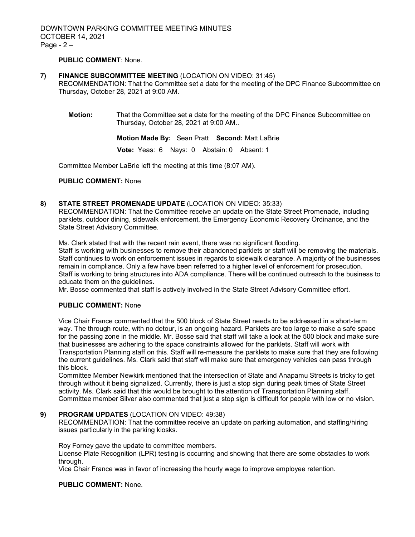# **PUBLIC COMMENT**: None.

#### **7) FINANCE SUBCOMMITTEE MEETING** (LOCATION ON VIDEO: 31:45)

RECOMMENDATION: That the Committee set a date for the meeting of the DPC Finance Subcommittee on Thursday, October 28, 2021 at 9:00 AM.

**Motion:** That the Committee set a date for the meeting of the DPC Finance Subcommittee on Thursday, October 28, 2021 at 9:00 AM..

**Motion Made By:** Sean Pratt **Second:** Matt LaBrie

 **Vote:** Yeas: 6 Nays: 0 Abstain: 0 Absent: 1

Committee Member LaBrie left the meeting at this time (8:07 AM).

#### **PUBLIC COMMENT:** None

#### **8) STATE STREET PROMENADE UPDATE** (LOCATION ON VIDEO: 35:33)

RECOMMENDATION: That the Committee receive an update on the State Street Promenade, including parklets, outdoor dining, sidewalk enforcement, the Emergency Economic Recovery Ordinance, and the State Street Advisory Committee.

Ms. Clark stated that with the recent rain event, there was no significant flooding.

Staff is working with businesses to remove their abandoned parklets or staff will be removing the materials. Staff continues to work on enforcement issues in regards to sidewalk clearance. A majority of the businesses remain in compliance. Only a few have been referred to a higher level of enforcement for prosecution. Staff is working to bring structures into ADA compliance. There will be continued outreach to the business to educate them on the guidelines.

Mr. Bosse commented that staff is actively involved in the State Street Advisory Committee effort.

#### **PUBLIC COMMENT:** None

Vice Chair France commented that the 500 block of State Street needs to be addressed in a short-term way. The through route, with no detour, is an ongoing hazard. Parklets are too large to make a safe space for the passing zone in the middle. Mr. Bosse said that staff will take a look at the 500 block and make sure that businesses are adhering to the space constraints allowed for the parklets. Staff will work with Transportation Planning staff on this. Staff will re-measure the parklets to make sure that they are following the current guidelines. Ms. Clark said that staff will make sure that emergency vehicles can pass through this block.

Committee Member Newkirk mentioned that the intersection of State and Anapamu Streets is tricky to get through without it being signalized. Currently, there is just a stop sign during peak times of State Street activity. Ms. Clark said that this would be brought to the attention of Transportation Planning staff. Committee member Silver also commented that just a stop sign is difficult for people with low or no vision.

#### **9) PROGRAM UPDATES** (LOCATION ON VIDEO: 49:38)

RECOMMENDATION: That the committee receive an update on parking automation, and staffing/hiring issues particularly in the parking kiosks.

Roy Forney gave the update to committee members.

License Plate Recognition (LPR) testing is occurring and showing that there are some obstacles to work through.

Vice Chair France was in favor of increasing the hourly wage to improve employee retention.

#### **PUBLIC COMMENT:** None.